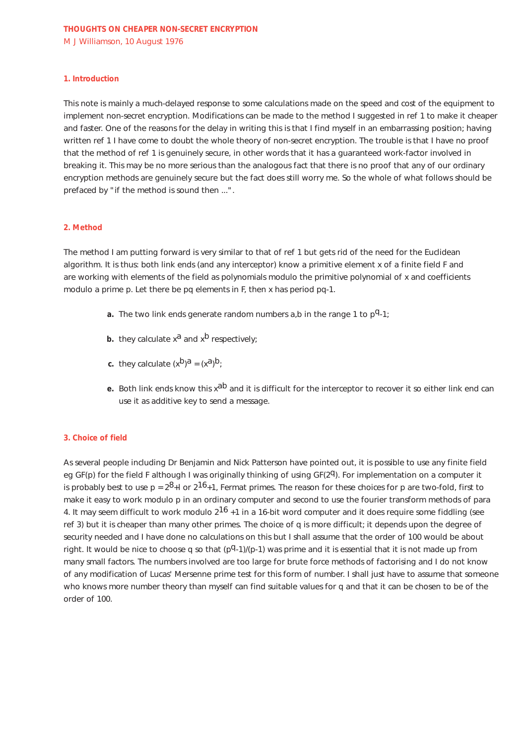### **1. Introduction**

This note is mainly a much-delayed response to some calculations made on the speed and cost of the equipment to implement non-secret encryption. Modifications can be made to the method I suggested in ref 1 to make it cheaper and faster. One of the reasons for the delay in writing this is that I find myself in an embarrassing position; having written ref 1 I have come to doubt the whole theory of non-secret encryption. The trouble is that I have no proof that the method of ref 1 is genuinely secure, in other words that it has a guaranteed work-factor involved in breaking it. This may be no more serious than the analogous fact that there is no proof that any of our ordinary encryption methods are genuinely secure but the fact does still worry me. So the whole of what follows should be prefaced by "if the method is sound then ...".

## **2. Method**

The method I am putting forward is very similar to that of ref 1 but gets rid of the need for the Euclidean algorithm. It is thus: both link ends (and any interceptor) know a primitive element x of a finite field F and are working with elements of the field as polynomials modulo the primitive polynomial of x and coefficients modulo a prime p. Let there be pq elements in F, then x has period pq-1.

- **a.** The two link ends generate random numbers  $a_i$ , b in the range 1 to  $p^q 1$ ;
- **b.** they calculate  $x^a$  and  $x^b$  respectively;
- **c.** they calculate  $(x^b)^a = (x^a)^b$ ;
- **e.** Both link ends know this x<sup>ab</sup> and it is difficult for the interceptor to recover it so either link end can use it as additive key to send a message.

# **3. Choice of field**

As several people including Dr Benjamin and Nick Patterson have pointed out, it is possible to use any finite field eg GF(p) for the field F although I was originally thinking of using GF( $2q$ ). For implementation on a computer it is probably best to use  $p = 2^8 + 1$  or  $2^{16} + 1$ , Fermat primes. The reason for these choices for p are two-fold, first to make it easy to work modulo p in an ordinary computer and second to use the fourier transform methods of para 4. It may seem difficult to work modulo  $2^{16}$  +1 in a 16-bit word computer and it does require some fiddling (see ref 3) but it is cheaper than many other primes. The choice of q is more difficult; it depends upon the degree of security needed and I have done no calculations on this but I shall assume that the order of 100 would be about right. It would be nice to choose q so that  $(pq-1)/(p-1)$  was prime and it is essential that it is not made up from many small factors. The numbers involved are too large for brute force methods of factorising and I do not know of any modification of Lucas' Mersenne prime test for this form of number. I shall just have to assume that someone who knows more number theory than myself can find suitable values for q and that it can be chosen to be of the order of 100.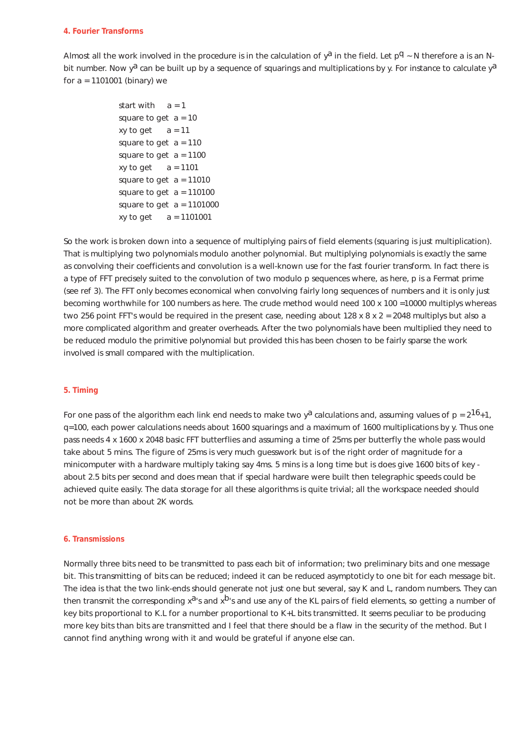### **4. Fourier Transforms**

Almost all the work involved in the procedure is in the calculation of  $y^2$  in the field. Let  $p^q \sim N$  therefore a is an Nbit number. Now  $y^a$  can be built up by a sequence of squarings and multiplications by y. For instance to calculate  $y^a$ for a = 1101001 (binary) we

```
start with a = 1square to get a = 10xy to get a = 11square to get a = 110square to get a = 1100xy to get a = 1101square to get a = 11010square to get a = 110100square to get a = 1101000xy to get a = 1101001
```
So the work is broken down into a sequence of multiplying pairs of field elements (squaring is just multiplication). That is multiplying two polynomials modulo another polynomial. But multiplying polynomials is exactly the same as convolving their coefficients and convolution is a well-known use for the fast fourier transform. In fact there is a type of FFT precisely suited to the convolution of two modulo p sequences where, as here, p is a Fermat prime (see ref 3). The FFT only becomes economical when convolving fairly long sequences of numbers and it is only just becoming worthwhile for 100 numbers as here. The crude method would need 100 x 100 =10000 multiplys whereas two 256 point FFT's would be required in the present case, needing about 128 x 8 x 2 = 2048 multiplys but also a more complicated algorithm and greater overheads. After the two polynomials have been multiplied they need to be reduced modulo the primitive polynomial but provided this has been chosen to be fairly sparse the work involved is small compared with the multiplication.

# **5. Timing**

For one pass of the algorithm each link end needs to make two y<sup>a</sup> calculations and, assuming values of  $p = 2^{16}+1$ , q=100, each power calculations needs about 1600 squarings and a maximum of 1600 multiplications by y. Thus one pass needs 4 x 1600 x 2048 basic FFT butterflies and assuming a time of 25ms per butterfly the whole pass would take about 5 mins. The figure of 25ms is very much guesswork but is of the right order of magnitude for a minicomputer with a hardware multiply taking say 4ms. 5 mins is a long time but is does give 1600 bits of key about 2.5 bits per second and does mean that if special hardware were built then telegraphic speeds could be achieved quite easily. The data storage for all these algorithms is quite trivial; all the workspace needed should not be more than about 2K words.

### **6. Transmissions**

Normally three bits need to be transmitted to pass each bit of information; two preliminary bits and one message bit. This transmitting of bits can be reduced; indeed it can be reduced asymptoticly to one bit for each message bit. The idea is that the two link-ends should generate not just one but several, say K and L, random numbers. They can then transmit the corresponding  $x^{a}$ 's and  $x^{b}$ 's and use any of the KL pairs of field elements, so getting a number of key bits proportional to K.L for a number proportional to K+L bits transmitted. It seems peculiar to be producing more key bits than bits are transmitted and I feel that there should be a flaw in the security of the method. But I cannot find anything wrong with it and would be grateful if anyone else can.